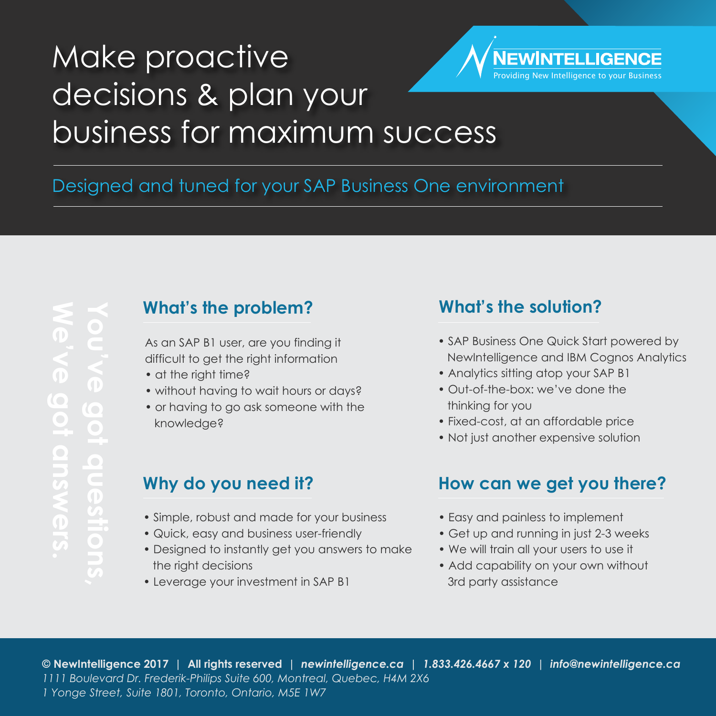# Make proactive NEWINTELLIGENCE [Providing New Intelligence to your Business](http://newintelligence.ca) decisions & plan your business for maximum success

# Designed and tuned for your SAP Business One environment

# **What's the problem? What's the solution?**

As an SAP B1 user, are you finding it difficult to get the right information

- at the right time?
- without having to wait hours or days?
- or having to go ask someone with the knowledge?

- Simple, robust and made for your business
- Quick, easy and business user-friendly
- Designed to instantly get you answers to make the right decisions
- Leverage your investment in SAP B1

- SAP Business One Quick Start powered by NewIntelligence and IBM Cognos Analytics
- Analytics sitting atop your SAP B1
- Out-of-the-box: we've done the thinking for you
- Fixed-cost, at an affordable price
- Not just another expensive solution

### **Why do you need it? How can we get you there?**

- Easy and painless to implement
- Get up and running in just 2-3 weeks
- We will train all your users to use it
- Add capability on your own without 3rd party assistance

**© NewIntelligence 2017 | All rights reserved |** *[newintelligence.ca |](http://newintelligence.ca) 1.833.426.4667 x 120 [| info@newintelligence.ca](mailto:info@newintelligence.ca) 1111 Boulevard Dr. Frederik-Philips Suite 600, Montreal, Quebec, H4M 2X6 1 Yonge Street, Suite 1801, Toronto, Ontario, M5E 1W7*

 $\bigcirc$ **C**